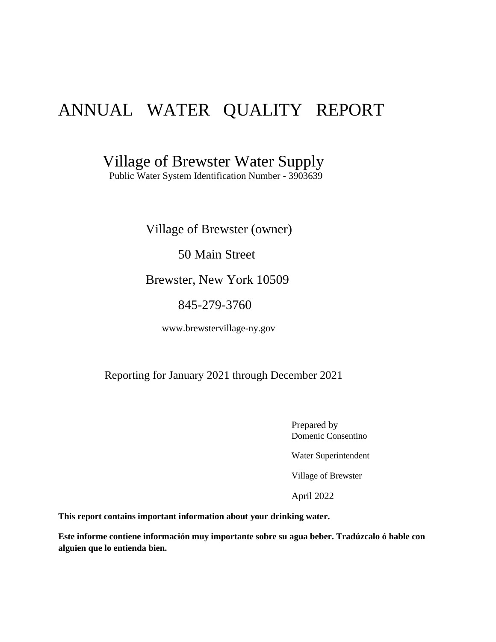# ANNUAL WATER QUALITY REPORT

Village of Brewster Water Supply

Public Water System Identification Number - 3903639

Village of Brewster (owner)

50 Main Street

Brewster, New York 10509

845-279-3760

www.brewstervillage-ny.gov

### Reporting for January 2021 through December 2021

Prepared by Domenic Consentino

Water Superintendent

Village of Brewster

April 2022

**This report contains important information about your drinking water.**

**Este informe contiene información muy importante sobre su agua beber. Tradúzcalo ó hable con alguien que lo entienda bien.**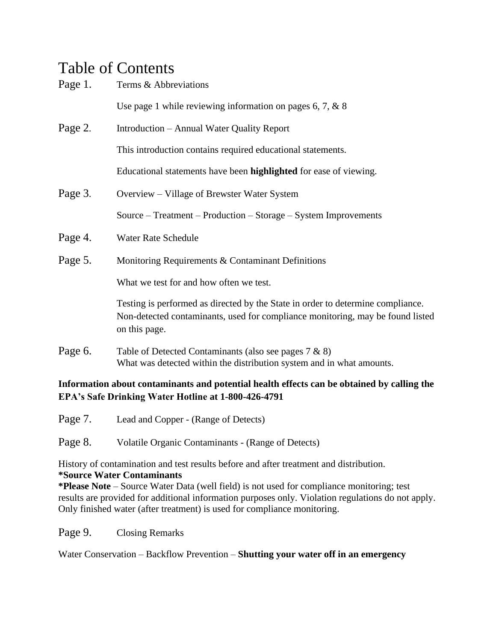# Table of Contents

| Page 1. | Terms & Abbreviations                                                                                                                                                              |
|---------|------------------------------------------------------------------------------------------------------------------------------------------------------------------------------------|
|         | Use page 1 while reviewing information on pages 6, 7, $\&$ 8                                                                                                                       |
| Page 2. | Introduction – Annual Water Quality Report                                                                                                                                         |
|         | This introduction contains required educational statements.                                                                                                                        |
|         | Educational statements have been highlighted for ease of viewing.                                                                                                                  |
| Page 3. | Overview – Village of Brewster Water System                                                                                                                                        |
|         | Source – Treatment – Production – Storage – System Improvements                                                                                                                    |
| Page 4. | Water Rate Schedule                                                                                                                                                                |
| Page 5. | Monitoring Requirements & Contaminant Definitions                                                                                                                                  |
|         | What we test for and how often we test.                                                                                                                                            |
|         | Testing is performed as directed by the State in order to determine compliance.<br>Non-detected contaminants, used for compliance monitoring, may be found listed<br>on this page. |
| Page 6. | Table of Detected Contaminants (also see pages $7 & 8$ )<br>What was detected within the distribution system and in what amounts.                                                  |

#### **Information about contaminants and potential health effects can be obtained by calling the EPA's Safe Drinking Water Hotline at 1-800-426-4791**

Page 7. Lead and Copper - (Range of Detects)

Page 8. Volatile Organic Contaminants - (Range of Detects)

History of contamination and test results before and after treatment and distribution. **\*Source Water Contaminants** 

**\*Please Note** – Source Water Data (well field) is not used for compliance monitoring; test results are provided for additional information purposes only. Violation regulations do not apply. Only finished water (after treatment) is used for compliance monitoring.

Page 9. Closing Remarks

Water Conservation – Backflow Prevention – **Shutting your water off in an emergency**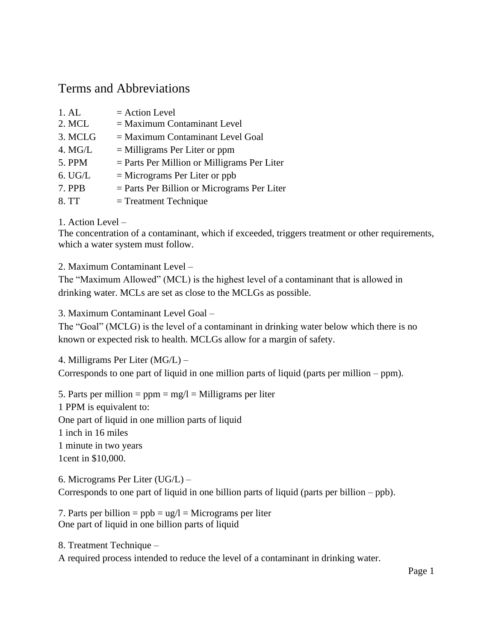# Terms and Abbreviations

| 1. A <sub>L</sub> | $=$ Action Level                              |
|-------------------|-----------------------------------------------|
| 2. MCL            | $=$ Maximum Contaminant Level                 |
| 3. MCLG           | $=$ Maximum Contaminant Level Goal            |
| 4. MG/L           | $=$ Milligrams Per Liter or ppm               |
| 5. PPM            | $=$ Parts Per Million or Milligrams Per Liter |
| 6. UGL            | $=$ Micrograms Per Liter or ppb               |
| 7. PPB            | $=$ Parts Per Billion or Micrograms Per Liter |
| 8. TT             | $=$ Treatment Technique                       |

#### 1. Action Level –

The concentration of a contaminant, which if exceeded, triggers treatment or other requirements, which a water system must follow.

2. Maximum Contaminant Level –

The "Maximum Allowed" (MCL) is the highest level of a contaminant that is allowed in drinking water. MCLs are set as close to the MCLGs as possible.

3. Maximum Contaminant Level Goal –

The "Goal" (MCLG) is the level of a contaminant in drinking water below which there is no known or expected risk to health. MCLGs allow for a margin of safety.

4. Milligrams Per Liter (MG/L) –

Corresponds to one part of liquid in one million parts of liquid (parts per million – ppm).

5. Parts per million =  $ppm = mg/l =$ Milligrams per liter 1 PPM is equivalent to: One part of liquid in one million parts of liquid 1 inch in 16 miles 1 minute in two years 1cent in \$10,000.

6. Micrograms Per Liter (UG/L) – Corresponds to one part of liquid in one billion parts of liquid (parts per billion – ppb).

7. Parts per billion  $=$  ppb  $=$  ug/l  $=$  Micrograms per liter One part of liquid in one billion parts of liquid

8. Treatment Technique –

A required process intended to reduce the level of a contaminant in drinking water.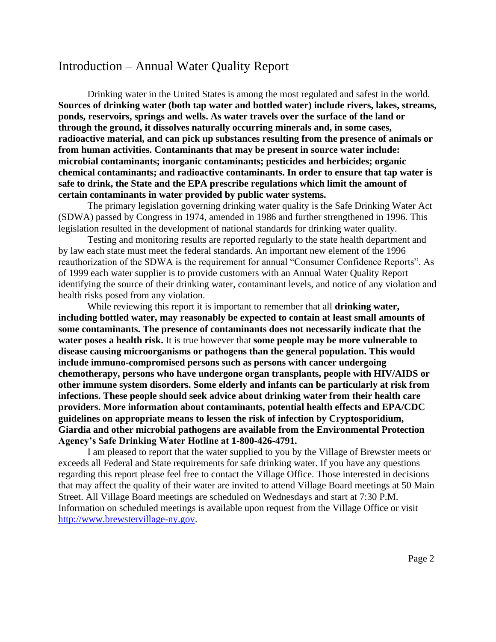# Introduction – Annual Water Quality Report

Drinking water in the United States is among the most regulated and safest in the world. **Sources of drinking water (both tap water and bottled water) include rivers, lakes, streams, ponds, reservoirs, springs and wells. As water travels over the surface of the land or through the ground, it dissolves naturally occurring minerals and, in some cases, radioactive material, and can pick up substances resulting from the presence of animals or from human activities. Contaminants that may be present in source water include: microbial contaminants; inorganic contaminants; pesticides and herbicides; organic chemical contaminants; and radioactive contaminants. In order to ensure that tap water is safe to drink, the State and the EPA prescribe regulations which limit the amount of certain contaminants in water provided by public water systems.**

The primary legislation governing drinking water quality is the Safe Drinking Water Act (SDWA) passed by Congress in 1974, amended in 1986 and further strengthened in 1996. This legislation resulted in the development of national standards for drinking water quality.

Testing and monitoring results are reported regularly to the state health department and by law each state must meet the federal standards. An important new element of the 1996 reauthorization of the SDWA is the requirement for annual "Consumer Confidence Reports". As of 1999 each water supplier is to provide customers with an Annual Water Quality Report identifying the source of their drinking water, contaminant levels, and notice of any violation and health risks posed from any violation.

While reviewing this report it is important to remember that all **drinking water, including bottled water, may reasonably be expected to contain at least small amounts of some contaminants. The presence of contaminants does not necessarily indicate that the water poses a health risk.** It is true however that **some people may be more vulnerable to disease causing microorganisms or pathogens than the general population. This would include immuno-compromised persons such as persons with cancer undergoing chemotherapy, persons who have undergone organ transplants, people with HIV/AIDS or other immune system disorders. Some elderly and infants can be particularly at risk from infections. These people should seek advice about drinking water from their health care providers. More information about contaminants, potential health effects and EPA/CDC guidelines on appropriate means to lessen the risk of infection by Cryptosporidium, Giardia and other microbial pathogens are available from the Environmental Protection Agency's Safe Drinking Water Hotline at 1-800-426-4791.**

I am pleased to report that the water supplied to you by the Village of Brewster meets or exceeds all Federal and State requirements for safe drinking water. If you have any questions regarding this report please feel free to contact the Village Office. Those interested in decisions that may affect the quality of their water are invited to attend Village Board meetings at 50 Main Street. All Village Board meetings are scheduled on Wednesdays and start at 7:30 P.M. Information on scheduled meetings is available upon request from the Village Office or visit [http://www.brewstervillage-ny.gov.](http://www.brewstervillage-ny.gov/)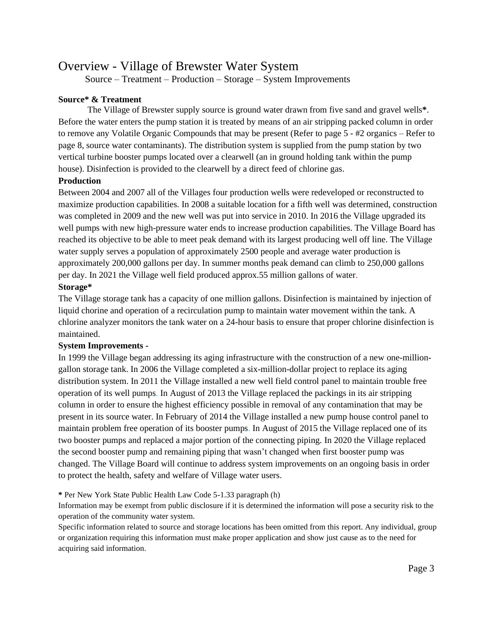## Overview - Village of Brewster Water System

Source – Treatment – Production – Storage – System Improvements

#### **Source\* & Treatment**

The Village of Brewster supply source is ground water drawn from five sand and gravel wells**\***. Before the water enters the pump station it is treated by means of an air stripping packed column in order to remove any Volatile Organic Compounds that may be present (Refer to page 5 - #2 organics – Refer to page 8, source water contaminants). The distribution system is supplied from the pump station by two vertical turbine booster pumps located over a clearwell (an in ground holding tank within the pump house). Disinfection is provided to the clearwell by a direct feed of chlorine gas.

#### **Production**

Between 2004 and 2007 all of the Villages four production wells were redeveloped or reconstructed to maximize production capabilities. In 2008 a suitable location for a fifth well was determined, construction was completed in 2009 and the new well was put into service in 2010. In 2016 the Village upgraded its well pumps with new high-pressure water ends to increase production capabilities. The Village Board has reached its objective to be able to meet peak demand with its largest producing well off line. The Village water supply serves a population of approximately 2500 people and average water production is approximately 200,000 gallons per day. In summer months peak demand can climb to 250,000 gallons per day. In 2021 the Village well field produced approx.55 million gallons of water.

#### **Storage\***

The Village storage tank has a capacity of one million gallons. Disinfection is maintained by injection of liquid chorine and operation of a recirculation pump to maintain water movement within the tank. A chlorine analyzer monitors the tank water on a 24-hour basis to ensure that proper chlorine disinfection is maintained.

#### **System Improvements -**

In 1999 the Village began addressing its aging infrastructure with the construction of a new one-milliongallon storage tank. In 2006 the Village completed a six-million-dollar project to replace its aging distribution system. In 2011 the Village installed a new well field control panel to maintain trouble free operation of its well pumps. In August of 2013 the Village replaced the packings in its air stripping column in order to ensure the highest efficiency possible in removal of any contamination that may be present in its source water. In February of 2014 the Village installed a new pump house control panel to maintain problem free operation of its booster pumps. In August of 2015 the Village replaced one of its two booster pumps and replaced a major portion of the connecting piping. In 2020 the Village replaced the second booster pump and remaining piping that wasn't changed when first booster pump was changed. The Village Board will continue to address system improvements on an ongoing basis in order to protect the health, safety and welfare of Village water users.

#### **\*** Per New York State Public Health Law Code 5-1.33 paragraph (h)

Information may be exempt from public disclosure if it is determined the information will pose a security risk to the operation of the community water system.

Specific information related to source and storage locations has been omitted from this report. Any individual, group or organization requiring this information must make proper application and show just cause as to the need for acquiring said information.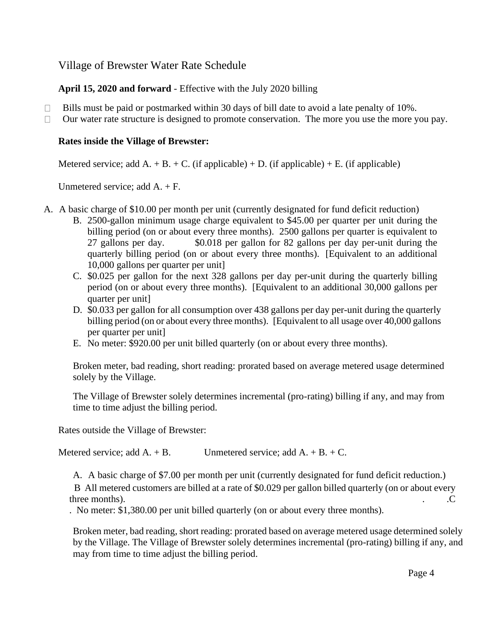Village of Brewster Water Rate Schedule

**April 15, 2020 and forward** - Effective with the July 2020 billing

- $\Box$  Bills must be paid or postmarked within 30 days of bill date to avoid a late penalty of 10%.
- $\Box$  Our water rate structure is designed to promote conservation. The more you use the more you pay.

#### **Rates inside the Village of Brewster:**

Metered service; add A. + B. + C. (if applicable) + D. (if applicable) + E. (if applicable)

Unmetered service; add A. + F.

- A. A basic charge of \$10.00 per month per unit (currently designated for fund deficit reduction)
	- B. 2500-gallon minimum usage charge equivalent to \$45.00 per quarter per unit during the billing period (on or about every three months). 2500 gallons per quarter is equivalent to 27 gallons per day. \$0.018 per gallon for 82 gallons per day per-unit during the quarterly billing period (on or about every three months). [Equivalent to an additional 10,000 gallons per quarter per unit]
	- C. \$0.025 per gallon for the next 328 gallons per day per-unit during the quarterly billing period (on or about every three months). [Equivalent to an additional 30,000 gallons per quarter per unit]
	- D. \$0.033 per gallon for all consumption over 438 gallons per day per-unit during the quarterly billing period (on or about every three months). [Equivalent to all usage over 40,000 gallons per quarter per unit]
	- E. No meter: \$920.00 per unit billed quarterly (on or about every three months).

Broken meter, bad reading, short reading: prorated based on average metered usage determined solely by the Village.

The Village of Brewster solely determines incremental (pro-rating) billing if any, and may from time to time adjust the billing period.

Rates outside the Village of Brewster:

Metered service; add  $A. + B.$  Unmetered service; add  $A. + B. + C.$ 

A. A basic charge of \$7.00 per month per unit (currently designated for fund deficit reduction.)

 B All metered customers are billed at a rate of \$0.029 per gallon billed quarterly (on or about every three months).  $\qquad \qquad \text{C}$ 

. No meter: \$1,380.00 per unit billed quarterly (on or about every three months).

Broken meter, bad reading, short reading: prorated based on average metered usage determined solely by the Village. The Village of Brewster solely determines incremental (pro-rating) billing if any, and may from time to time adjust the billing period.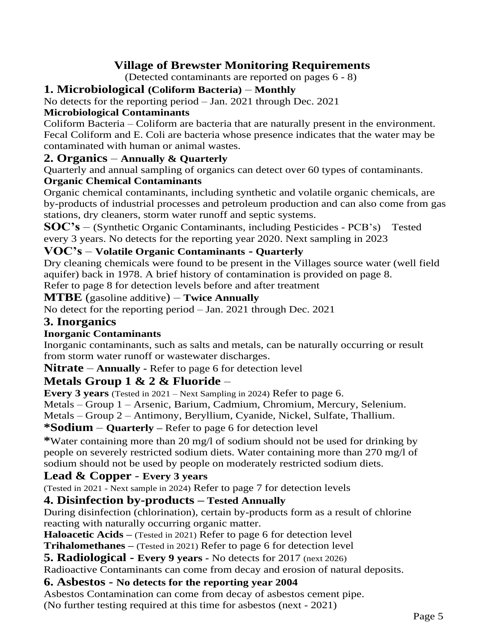# **Village of Brewster Monitoring Requirements**

(Detected contaminants are reported on pages 6 - 8)

### **1. Microbiological (Coliform Bacteria)** – **Monthly**

No detects for the reporting period – Jan. 2021 through Dec. 2021

#### **Microbiological Contaminants**

Coliform Bacteria – Coliform are bacteria that are naturally present in the environment. Fecal Coliform and E. Coli are bacteria whose presence indicates that the water may be contaminated with human or animal wastes.

#### **2. Organics** – **Annually & Quarterly**

Quarterly and annual sampling of organics can detect over 60 types of contaminants.

#### **Organic Chemical Contaminants**

Organic chemical contaminants, including synthetic and volatile organic chemicals, are by-products of industrial processes and petroleum production and can also come from gas stations, dry cleaners, storm water runoff and septic systems.

**SOC's** – (Synthetic Organic Contaminants, including Pesticides - PCB's) Tested every 3 years. No detects for the reporting year 2020. Next sampling in 2023

#### **VOC's** – **Volatile Organic Contaminants - Quarterly**

Dry cleaning chemicals were found to be present in the Villages source water (well field aquifer) back in 1978. A brief history of contamination is provided on page 8.

Refer to page 8 for detection levels before and after treatment

#### **MTBE** (gasoline additive) – **Twice Annually**

No detect for the reporting period – Jan. 2021 through Dec. 2021

#### **3. Inorganics**

#### **Inorganic Contaminants**

Inorganic contaminants, such as salts and metals, can be naturally occurring or result from storm water runoff or wastewater discharges.

**Nitrate** – **Annually -** Refer to page 6 for detection level

## **Metals Group 1 & 2 & Fluoride** –

**Every 3 years** (Tested in 2021 – Next Sampling in 2024) Refer to page 6.

Metals – Group 1 – Arsenic, Barium, Cadmium, Chromium, Mercury, Selenium.

Metals – Group 2 – Antimony, Beryllium, Cyanide, Nickel, Sulfate, Thallium.

#### **\*Sodium** – **Quarterly –** Refer to page 6 for detection level

**\***Water containing more than 20 mg/l of sodium should not be used for drinking by people on severely restricted sodium diets. Water containing more than 270 mg/l of sodium should not be used by people on moderately restricted sodium diets.

## **Lead & Copper** - **Every 3 years**

(Tested in 2021 - Next sample in 2024) Refer to page 7 for detection levels

## **4. Disinfection by-products – Tested Annually**

During disinfection (chlorination), certain by-products form as a result of chlorine reacting with naturally occurring organic matter.

**Haloacetic Acids –** (Tested in 2021) Refer to page 6 for detection level

**Trihalomethanes –** (Tested in 2021) Refer to page 6 for detection level

**5. Radiological - Every 9 years -** No detects for 2017 (next 2026)

Radioactive Contaminants can come from decay and erosion of natural deposits.

#### **6. Asbestos - No detects for the reporting year 2004**

Asbestos Contamination can come from decay of asbestos cement pipe.

(No further testing required at this time for asbestos (next - 2021)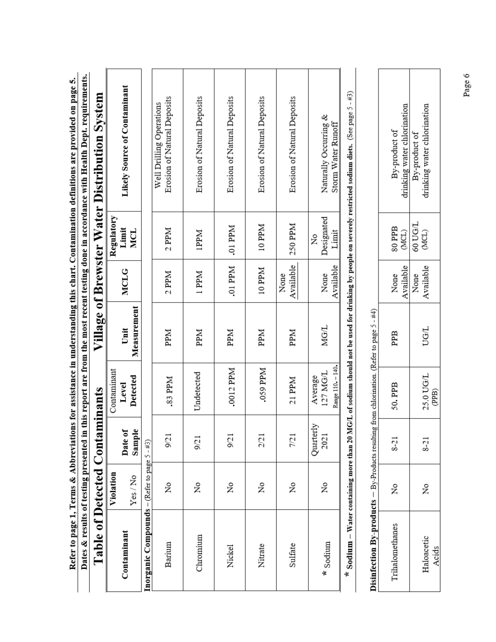| Dates & results of testing presented in<br>Table of Detected Contar |           |                   | minants                                  |                     |                   |                          | this report are from the most recent testing done in accordance with Health Dept. requirements.<br>Village of Brewster Water Distribution System         |  |
|---------------------------------------------------------------------|-----------|-------------------|------------------------------------------|---------------------|-------------------|--------------------------|----------------------------------------------------------------------------------------------------------------------------------------------------------|--|
|                                                                     | Violation |                   | Contaminant                              |                     |                   | Regulatory               |                                                                                                                                                          |  |
| Contaminant                                                         | Yes/No    | Date of<br>Sample | Detected<br>Level                        | Measurement<br>Unit | <b>MCLG</b>       | Limit<br><b>MCL</b>      | <b>Likely Source of Contaminant</b>                                                                                                                      |  |
| <b>Inorganic Compounds</b> – (Refer to page $5 - #3$ )              |           |                   |                                          |                     |                   |                          |                                                                                                                                                          |  |
| Barium                                                              | ž         | 9/21              | .83 PPM                                  | <b>PPM</b>          | $2$ PPM           | $2$ PPM                  | Erosion of Natural Deposits<br>Well Drilling Operations                                                                                                  |  |
| Chromium                                                            | ž         | 9/21              | Undetected                               | <b>PPM</b>          | 1 PPM             | <b>IPPM</b>              | Erosion of Natural Deposits                                                                                                                              |  |
| Nickel                                                              | ż         | 9/21              | .0012 PPM                                | PPM                 | .01 PPM           | .01 PPM                  | Erosion of Natural Deposits                                                                                                                              |  |
| Nitrate                                                             | ż         | 2/21              | .059 PPM                                 | <b>Ndd</b>          | 10 PPM            | 10 PPM                   | Erosion of Natural Deposits                                                                                                                              |  |
| Sulfate                                                             | ż         | 7/21              | 21 PPM                                   | <b>PPM</b>          | Available<br>None | 250 PPM                  | Erosion of Natural Deposits                                                                                                                              |  |
| $\star$ Sodium                                                      | ż         | Quarterly<br>2021 | Range 110. - 140.<br>127 MG/L<br>Average | <b>MG/L</b>         | Available<br>None | Designated<br>Limit<br>ż | Naturally Occurring &<br>Storm Water Runoff                                                                                                              |  |
|                                                                     |           |                   |                                          |                     |                   |                          | * Sodium – Water containing more than 20 MG/L of sodium should not be used for drinking by people on severely restricted sodium diets. (See page 5 - #3) |  |

Refer to page 1, Terms & Abbreviations for assistance in understanding this chart. Contamination definitions are provided on page 5.

|   | ï                                         |
|---|-------------------------------------------|
|   |                                           |
|   |                                           |
| Į | I                                         |
|   |                                           |
|   |                                           |
|   | J                                         |
|   |                                           |
|   | ֚֕֕֡                                      |
|   |                                           |
|   | ı                                         |
|   | ׅׅ֧֧֚֚֚֚֚֚֚֚֚֚֚֚֚֚֚֚֚֚֡֡֡֡֡֡֡֡֡֡֓֡֡֡֝֬֝֓֝ |
|   |                                           |
|   |                                           |
|   |                                           |

|                                                                                                     | Irinking water chlorination<br>By-product of | frinking water chlorination<br>By-product or |
|-----------------------------------------------------------------------------------------------------|----------------------------------------------|----------------------------------------------|
|                                                                                                     | 80 PPB<br>(MCL)                              | <b>1/DU0/1</b><br>(MCL)                      |
|                                                                                                     | Available<br>None                            | <b>Available</b><br>None                     |
|                                                                                                     | PPB                                          | UG/L                                         |
|                                                                                                     | 50.PPB                                       | 25.0 UG/L<br>(PPB)                           |
|                                                                                                     | $8-21$                                       | $8-21$                                       |
|                                                                                                     | ż                                            | ż                                            |
| <b>Disinfection By-products</b> $-$ By-Products resulting from chlorination. (Refer to page 5 - #4) | Trihalomethanes                              | Haloacetic<br>Acids                          |

Page 6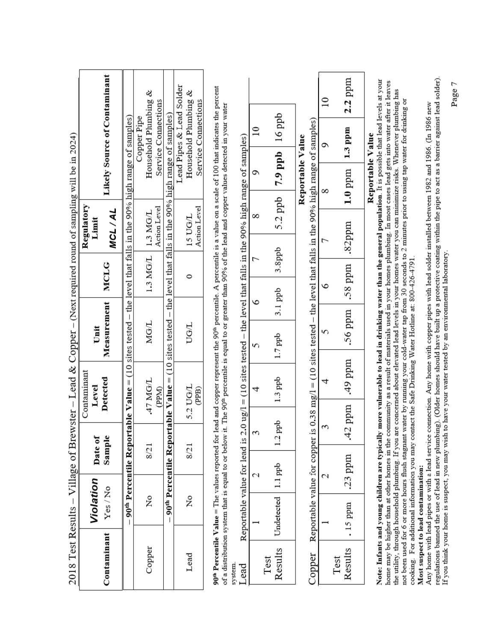|                 |                                     |                    |                   | 2018 Test Results -- Village of Brewster -- Lead & Copper -- (Next required round of sampling will be in 2024)                                                                                                                                                                                                                                                                                                                                                                                                                                                                                                                                                                                                                                                         |                     |         |             |                                |                  |                                                                         |                                     |
|-----------------|-------------------------------------|--------------------|-------------------|------------------------------------------------------------------------------------------------------------------------------------------------------------------------------------------------------------------------------------------------------------------------------------------------------------------------------------------------------------------------------------------------------------------------------------------------------------------------------------------------------------------------------------------------------------------------------------------------------------------------------------------------------------------------------------------------------------------------------------------------------------------------|---------------------|---------|-------------|--------------------------------|------------------|-------------------------------------------------------------------------|-------------------------------------|
|                 |                                     |                    |                   | Contaminant                                                                                                                                                                                                                                                                                                                                                                                                                                                                                                                                                                                                                                                                                                                                                            |                     |         |             | Regulatory                     |                  |                                                                         |                                     |
| Contaminant     | Violation<br>Yes/No                 |                    | Date of<br>Sample | Detected<br>Level                                                                                                                                                                                                                                                                                                                                                                                                                                                                                                                                                                                                                                                                                                                                                      | Measurement<br>Unit |         | <b>MCLG</b> | <b>MCL/AL</b><br>Limit         |                  |                                                                         | <b>Likely Source of Contaminant</b> |
|                 |                                     |                    |                   | $90th$ Percentile Reportable Value = (10 sites tested – the level that falls in the 90% high range of samples)                                                                                                                                                                                                                                                                                                                                                                                                                                                                                                                                                                                                                                                         |                     |         |             |                                |                  |                                                                         |                                     |
| Copper          | Σó                                  |                    | 8/21              | 47 MG/L<br>(PPM)                                                                                                                                                                                                                                                                                                                                                                                                                                                                                                                                                                                                                                                                                                                                                       | MG/L                |         | 1.3 MG/L    | Action Level<br>$1.3$ MG/L     |                  | Household Plumbing &<br>Service Connections<br>Copper Pipe              |                                     |
|                 |                                     |                    |                   | $90th$ Percentile Reportable Value = (10 sites tested – the level that falls in the 90% high range of samples)                                                                                                                                                                                                                                                                                                                                                                                                                                                                                                                                                                                                                                                         |                     |         |             |                                |                  |                                                                         |                                     |
| Lead            | ż                                   |                    | 8/21              | 5.2 UG/L<br>(PPB)                                                                                                                                                                                                                                                                                                                                                                                                                                                                                                                                                                                                                                                                                                                                                      | <b>UG/L</b>         |         | 0           | Action Level<br><b>15 UG/L</b> |                  | Lead Pipes & Lead Solder<br>Household Plumbing &<br>Service Connections |                                     |
| system          |                                     |                    |                   | 90 <sup>th</sup> Percentile Value = The values reported for lead and copper represent the 90 <sup>th</sup> percentile. A percentile is a value on a scale of 100 that indicates the percent<br>of a distribution system that is equal to or below it. The 90 <sup>th</sup> percentile is equal to or greater than 90% of the lead and copper values detected in your water                                                                                                                                                                                                                                                                                                                                                                                             |                     |         |             |                                |                  |                                                                         |                                     |
| Lead            | Reportable value for lead is        |                    |                   | $2.0 \text{ ug}/l = (10 \text{ sites tested} - \text{the level that falls in the 90% high range of samples})$                                                                                                                                                                                                                                                                                                                                                                                                                                                                                                                                                                                                                                                          |                     |         |             |                                |                  |                                                                         |                                     |
|                 |                                     |                    | ξ                 | 4                                                                                                                                                                                                                                                                                                                                                                                                                                                                                                                                                                                                                                                                                                                                                                      | 5                   | ৽       |             | ∞                              | c                | $\overline{10}$                                                         |                                     |
| Results<br>Test | Undetected                          | $1.1$ ppb          | add .<br>1.2      | $1.3$ ppb                                                                                                                                                                                                                                                                                                                                                                                                                                                                                                                                                                                                                                                                                                                                                              | $1.7$ ppb           | 3.1 ppb | 3.8ppb      | $5.2$ ppb                      | $7.9$ ppb        | 16 ppb                                                                  |                                     |
| Copper          | Reportable value for copper         |                    |                   | is 0.38 mg/l = $(10 \text{ sites tested} - \text{the level that falls in the 90% high range of samples)$                                                                                                                                                                                                                                                                                                                                                                                                                                                                                                                                                                                                                                                               |                     |         |             |                                | Reportable Value |                                                                         |                                     |
|                 |                                     | $\scriptstyle\sim$ | 3                 | 4                                                                                                                                                                                                                                                                                                                                                                                                                                                                                                                                                                                                                                                                                                                                                                      | 5                   | ৩       |             |                                | ∞                | c                                                                       | $\overline{10}$                     |
| Results<br>Test | .15 ppm                             | $.23$ ppm          |                   | ttp.ppm<br>.42 ppm                                                                                                                                                                                                                                                                                                                                                                                                                                                                                                                                                                                                                                                                                                                                                     | .56 ppm             |         | rudd 85.    | .82ppm                         | $1.0$ ppm        | $1.3$ ppm                                                               | $2.2$ ppm                           |
|                 | Most suspect to lead contamination: |                    |                   | Note: Infants and young children are typically more vulnerable to lead in drinking water than the general population. It is possible that lead levels at your<br>home may be higher than at other homes in the community as a result of materials used in your homes plumbing. In most cases lead gets into water after it leaves<br>the utility, through household plumbing. If you are concerned about elevated lead levels in your homes water you can minimize risks. Whenever plumbing has<br>not been used for 6 or more hours flush stagnant water by running your cold-water tap from 30 seconds to 2 minutes prior to using tap water for drinking or<br>cooking. For additional information you may contact the Safe Drinking Water Hotline at: 800-426-4791 |                     |         |             |                                | Reportable Value |                                                                         |                                     |
|                 |                                     |                    |                   | regulations banned the use of lead in new plumbing). (Older homes should have built up a protective coating within the pipe to act as a barrier against lead solder).<br>Any home with lead pipes or with a lead service connection. Any home with copper pipes with lead solder installed between 1982 and 1986. (In 1986 new<br>If you think your home is suspect, you may wish to have your water tested by an environmental laboratory.                                                                                                                                                                                                                                                                                                                            |                     |         |             |                                |                  |                                                                         |                                     |

Page 7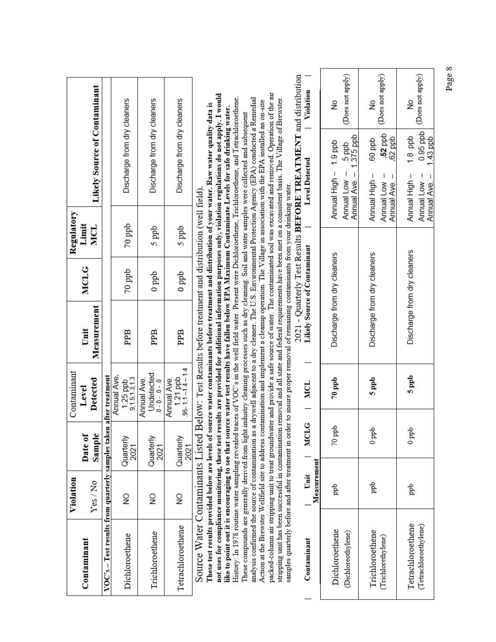|                                                                   | Violation           |                   | Contaminant                                  |                                                                                                                                    |                              | Regulatory |                                                                                                                                                                                                                                                                                                                                    |                       |
|-------------------------------------------------------------------|---------------------|-------------------|----------------------------------------------|------------------------------------------------------------------------------------------------------------------------------------|------------------------------|------------|------------------------------------------------------------------------------------------------------------------------------------------------------------------------------------------------------------------------------------------------------------------------------------------------------------------------------------|-----------------------|
| Contaminant                                                       |                     | Date of           | Level                                        | Unit                                                                                                                               | <b>MCLG</b>                  | Limit      |                                                                                                                                                                                                                                                                                                                                    |                       |
|                                                                   | Yes/No              | Sample            | Detected                                     | Measurement                                                                                                                        |                              | <b>MCL</b> | <b>Likely Source of Contaminant</b>                                                                                                                                                                                                                                                                                                |                       |
| VOC's – Test results from quarterly samples taken after treatment |                     |                   |                                              |                                                                                                                                    |                              |            |                                                                                                                                                                                                                                                                                                                                    |                       |
| Dichloroethene                                                    | $\frac{1}{2}$       | Quarterly<br>2021 | Annual Ave.<br>9,1.5,1.3,1.3<br>$1.25$ ppb   | PPB                                                                                                                                | $70$ ppb                     | $70$ ppb   | Discharge from dry cleaners                                                                                                                                                                                                                                                                                                        |                       |
| Trichloroethene                                                   | $\frac{1}{2}$       | Quarterly<br>2021 | Undetected<br>Annual Ave.<br>$0 - 0 - 0 - 0$ | PPB                                                                                                                                | 0 ppb                        | 5 ppb      | Discharge from dry cleaners                                                                                                                                                                                                                                                                                                        |                       |
| Tetrachloroethene                                                 | $\frac{1}{2}$       | Quarterly<br>2021 | $1.21$ ppb<br>95-11-14-14<br>Annual Ave.     | PPB                                                                                                                                | 0 ppb                        | 5 ppb      | Discharge from dry cleaners                                                                                                                                                                                                                                                                                                        |                       |
| Source Water Contaminants Listed                                  |                     |                   |                                              | Below: Test Results before treatment and distribution (well field).                                                                |                              |            |                                                                                                                                                                                                                                                                                                                                    |                       |
| These test results provided below are levels of                   |                     |                   |                                              |                                                                                                                                    |                              |            | source water contaminants before treatment and distribution of your water. Raw water quality data is                                                                                                                                                                                                                               |                       |
|                                                                   |                     |                   |                                              |                                                                                                                                    |                              |            | not uses for compliance monitoring, these test results are provided for additional information purposes only, violation regulations do not apply. I would<br>like to point out it is encouraging to see that source water test results have fallen below EPA Maximum Contaminate Levels for safe drinking water.                   |                       |
|                                                                   |                     |                   |                                              |                                                                                                                                    |                              |            | History: In 1978 routine water sampling revealed traces of VOC's in the well field water. Present were Dichloroethene, Trichloroethene, and Tetrachloroethene.<br>These compounds are generally derived from light industry cleaning processes such as dry cleaning. Soil and water samples were collected and subsequent          |                       |
|                                                                   |                     |                   |                                              |                                                                                                                                    |                              |            | analysis confirmed the source of contamination as a drywell adjacent to a dry cleaner. The U.S. Environmental Protection Agency (EPA) conducted a Remedial<br>Action at the Brewster Wellfield site to address contamination and implement a cleanup operation. The Village in association with the EPA installed an on-site       |                       |
|                                                                   |                     |                   |                                              | samples quarterly before and after treatment in order to insure proper removal of remaining contaminants from your drinking water. |                              |            | packed-column air stripping unit to treat groundwater and provide a safe source of water. The contaminated soil was excavated and removed. Operation of the air<br>stripping unit has been successful in contamination removal and all state and federal requirements have been met on a consistent basis. The Village of Brewster |                       |
|                                                                   |                     |                   |                                              |                                                                                                                                    |                              |            | 2021 - Quarterly Test Results BEFORE TREATMENT and distribution                                                                                                                                                                                                                                                                    |                       |
| Contaminant                                                       | Measurement<br>Unit | MCLG              | MCL                                          |                                                                                                                                    | Likely Source of Contaminant |            | <b>Level Detected</b>                                                                                                                                                                                                                                                                                                              | Violation             |
| Dichloroethene<br>(Dichloreothylene)                              | рр                  | $70~\rm{ppb}$     | $70$ ppb                                     | Discharge from dry cleaners                                                                                                        |                              |            | 1.9 ppb<br>dd g<br>Annual High-<br>Annual Low                                                                                                                                                                                                                                                                                      | (Does not apply)<br>ş |
|                                                                   |                     |                   |                                              |                                                                                                                                    |                              |            | 1.375 ppb<br>Annual Ave.                                                                                                                                                                                                                                                                                                           |                       |
| Trichloroethene                                                   | ppb                 | $0$ ppb           | 5 ppb                                        | Discharge from dry cleaners                                                                                                        |                              |            | 60 ppb<br>Annual High-                                                                                                                                                                                                                                                                                                             | ş                     |
| (Trichlorethylene)                                                |                     |                   |                                              |                                                                                                                                    |                              |            | $.52$ ppb<br>$.62$ ppb<br>I<br>Annual Low<br>Annual Ave.                                                                                                                                                                                                                                                                           | (Does not apply)      |
| Tetrachloroethene                                                 | ppb                 | $0$ ppb           | 5 ppb                                        |                                                                                                                                    | Discharge from dry cleaners  |            | $1.8$ ppb<br>Annual High-                                                                                                                                                                                                                                                                                                          | ž                     |
| (Tetrachloroethylene)                                             |                     |                   |                                              |                                                                                                                                    |                              |            | $0.95$ ppb<br>$1.43$ ppb<br>I<br>Annual Ave. -<br>Annual Low                                                                                                                                                                                                                                                                       | (Does not apply)      |

Page 8